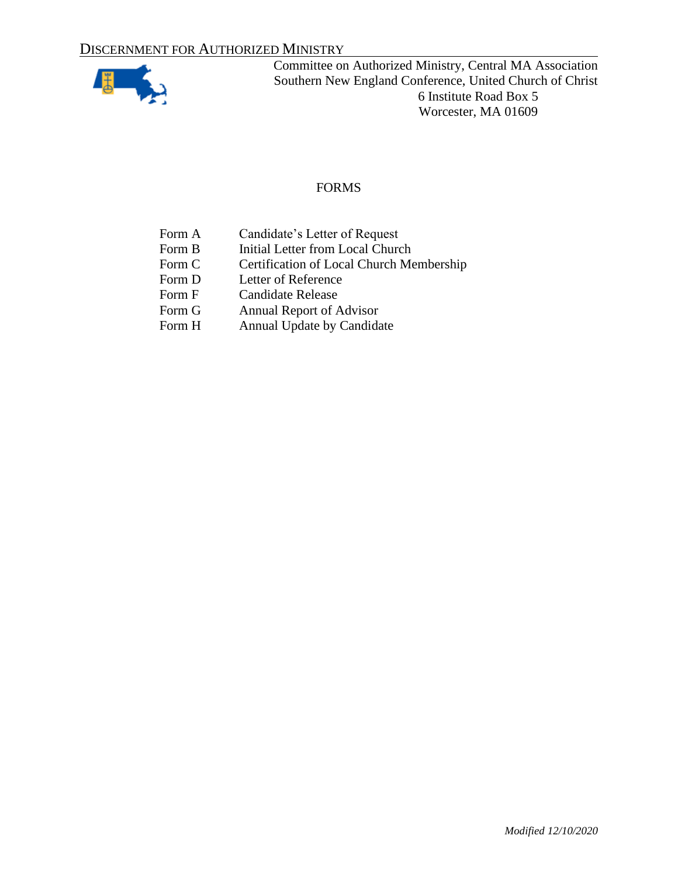

# FORMS

- Form A Candidate's Letter of Request
- Form B Initial Letter from Local Church
- Form C Certification of Local Church Membership
- Form D Letter of Reference<br>Form F Candidate Release
- **Candidate Release**
- Form G Annual Report of Advisor
- Form H Annual Update by Candidate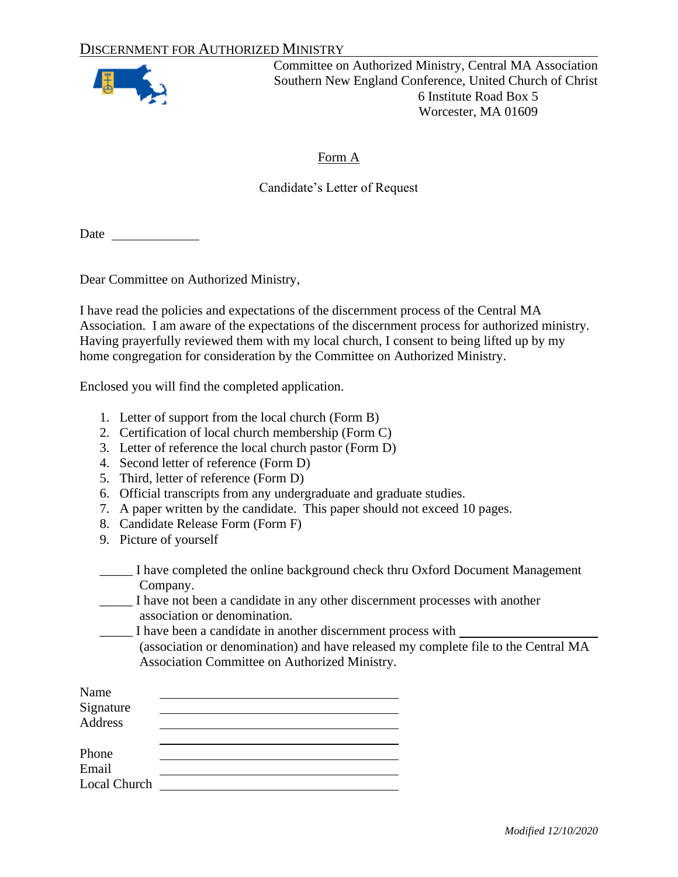

#### Form A

#### Candidate's Letter of Request

Date  $\qquad \qquad$ 

Dear Committee on Authorized Ministry,

I have read the policies and expectations of the discernment process of the Central MA Association. I am aware of the expectations of the discernment process for authorized ministry. Having prayerfully reviewed them with my local church, I consent to being lifted up by my home congregation for consideration by the Committee on Authorized Ministry.

Enclosed you will find the completed application.

- 1. Letter of support from the local church (Form B)
- 2. Certification of local church membership (Form C)
- 3. Letter of reference the local church pastor (Form D)
- 4. Second letter of reference (Form D)
- 5. Third, letter of reference (Form D)
- 6. Official transcripts from any undergraduate and graduate studies.
- 7. A paper written by the candidate. This paper should not exceed 10 pages.
- 8. Candidate Release Form (Form F)
- 9. Picture of yourself
- \_\_\_\_\_ I have completed the online background check thru Oxford Document Management Company.
- \_\_\_\_\_ I have not been a candidate in any other discernment processes with another association or denomination.
- \_\_\_\_\_ I have been a candidate in another discernment process with (association or denomination) and have released my complete file to the Central MA
	- Association Committee on Authorized Ministry.

| Name                |  |
|---------------------|--|
| Signature           |  |
| Address             |  |
|                     |  |
| Phone               |  |
| Email               |  |
| <b>Local Church</b> |  |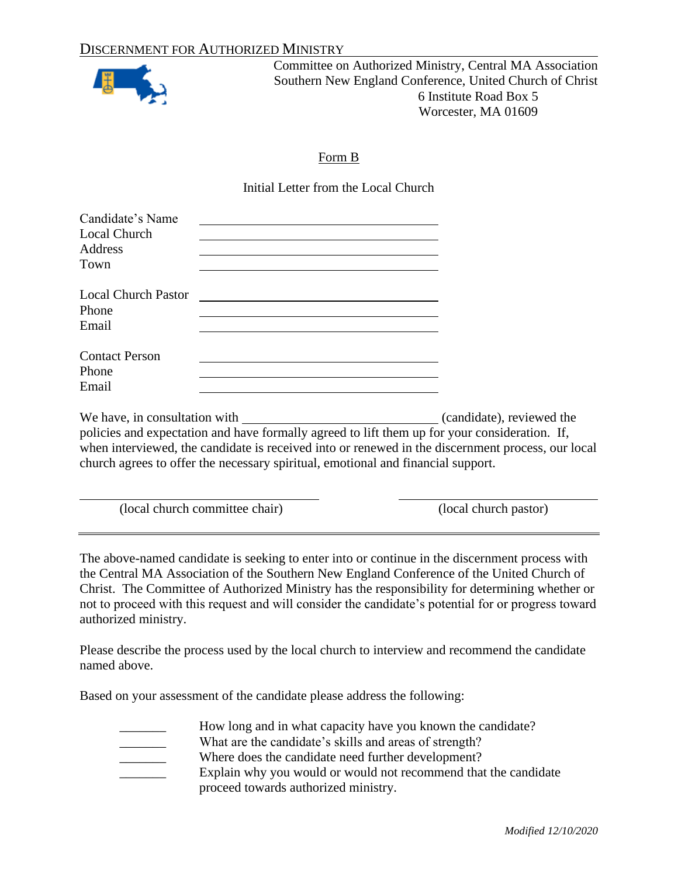

### Form B

Initial Letter from the Local Church

| Candidate's Name<br><b>Local Church</b><br>Address<br>Town                                                | <u> 1989 - Johann Stoff, amerikansk politiker (d. 1989)</u>                                                                                                                                        |
|-----------------------------------------------------------------------------------------------------------|----------------------------------------------------------------------------------------------------------------------------------------------------------------------------------------------------|
| Phone<br>Email                                                                                            |                                                                                                                                                                                                    |
| <b>Contact Person</b><br>Phone<br><u> 1989 - Andrea Barbara, Amerikaansk politiker (d. 1989)</u><br>Email |                                                                                                                                                                                                    |
| church agrees to offer the necessary spiritual, emotional and financial support.                          | policies and expectation and have formally agreed to lift them up for your consideration. If,<br>when interviewed, the candidate is received into or renewed in the discernment process, our local |

(local church committee chair) (local church pastor)

The above-named candidate is seeking to enter into or continue in the discernment process with the Central MA Association of the Southern New England Conference of the United Church of Christ. The Committee of Authorized Ministry has the responsibility for determining whether or not to proceed with this request and will consider the candidate's potential for or progress toward authorized ministry.

Please describe the process used by the local church to interview and recommend the candidate named above.

Based on your assessment of the candidate please address the following:

How long and in what capacity have you known the candidate? \_\_\_\_\_\_\_ What are the candidate's skills and areas of strength?

- 
- 

Where does the candidate need further development? Explain why you would or would not recommend that the candidate proceed towards authorized ministry.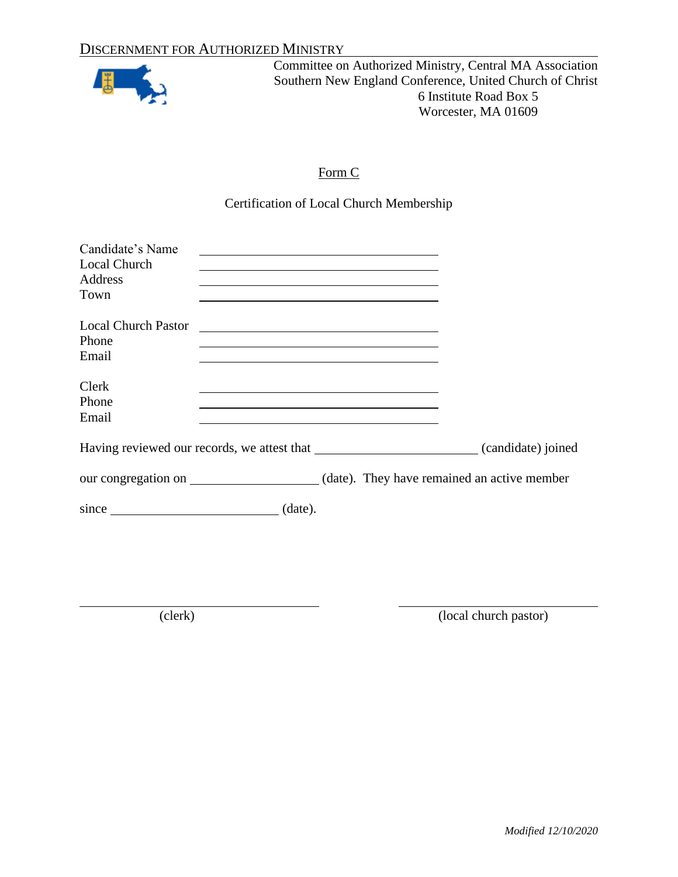

# Form C

Certification of Local Church Membership

| Candidate's Name<br><b>Local Church</b><br>Address<br>Town                                                                                                                                                                    | the control of the control of the control of the control of the control of the control of the control of the control of the control of the control of the control of the control of the control of the control of the control |                                                                                                                                                                                                                               |                                                                                      |
|-------------------------------------------------------------------------------------------------------------------------------------------------------------------------------------------------------------------------------|-------------------------------------------------------------------------------------------------------------------------------------------------------------------------------------------------------------------------------|-------------------------------------------------------------------------------------------------------------------------------------------------------------------------------------------------------------------------------|--------------------------------------------------------------------------------------|
| <b>Local Church Pastor</b><br>Phone<br>Email                                                                                                                                                                                  | <u> 1980 - Andrea State Barbara, poeta esperanto-</u>                                                                                                                                                                         | the control of the control of the control of the control of the control of the control of the control of the control of the control of the control of the control of the control of the control of the control of the control |                                                                                      |
| Clerk<br>Phone<br>Email                                                                                                                                                                                                       |                                                                                                                                                                                                                               |                                                                                                                                                                                                                               |                                                                                      |
|                                                                                                                                                                                                                               |                                                                                                                                                                                                                               |                                                                                                                                                                                                                               |                                                                                      |
|                                                                                                                                                                                                                               |                                                                                                                                                                                                                               |                                                                                                                                                                                                                               | our congregation on _____________________(date). They have remained an active member |
| since since the same state of the state of the state of the state of the state of the state of the state of the state of the state of the state of the state of the state of the state of the state of the state of the state | (data).                                                                                                                                                                                                                       |                                                                                                                                                                                                                               |                                                                                      |

(clerk) (local church pastor)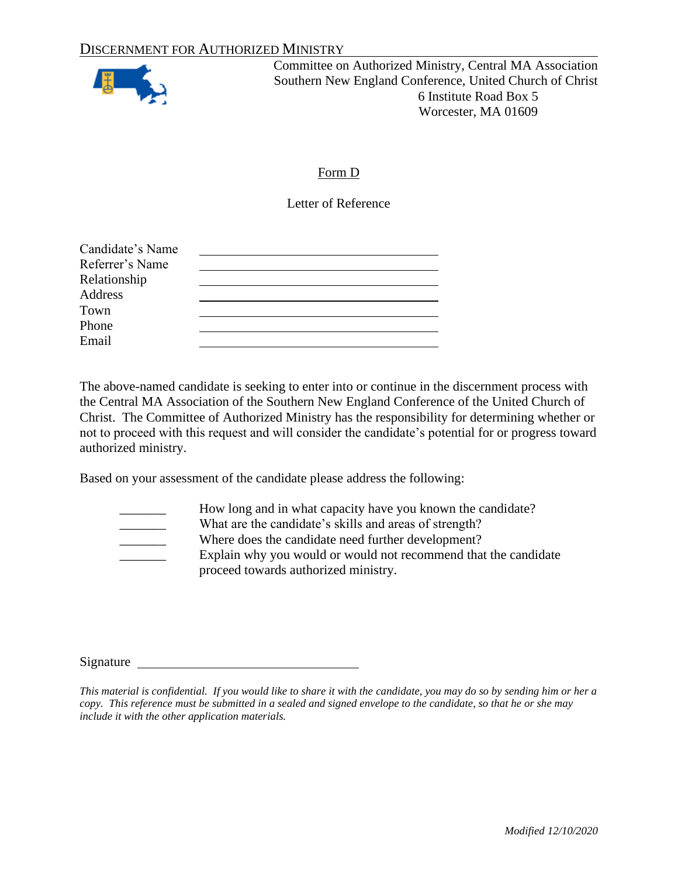

# Form D

Letter of Reference

| Candidate's Name |  |
|------------------|--|
| Referrer's Name  |  |
| Relationship     |  |
| Address          |  |
| Town             |  |
| Phone            |  |
| Email            |  |

The above-named candidate is seeking to enter into or continue in the discernment process with the Central MA Association of the Southern New England Conference of the United Church of Christ. The Committee of Authorized Ministry has the responsibility for determining whether or not to proceed with this request and will consider the candidate's potential for or progress toward authorized ministry.

Based on your assessment of the candidate please address the following:

How long and in what capacity have you known the candidate?

What are the candidate's skills and areas of strength?

Where does the candidate need further development? Explain why you would or would not recommend that the candidate proceed towards authorized ministry.

Signature

*This material is confidential. If you would like to share it with the candidate, you may do so by sending him or her a copy. This reference must be submitted in a sealed and signed envelope to the candidate, so that he or she may include it with the other application materials.*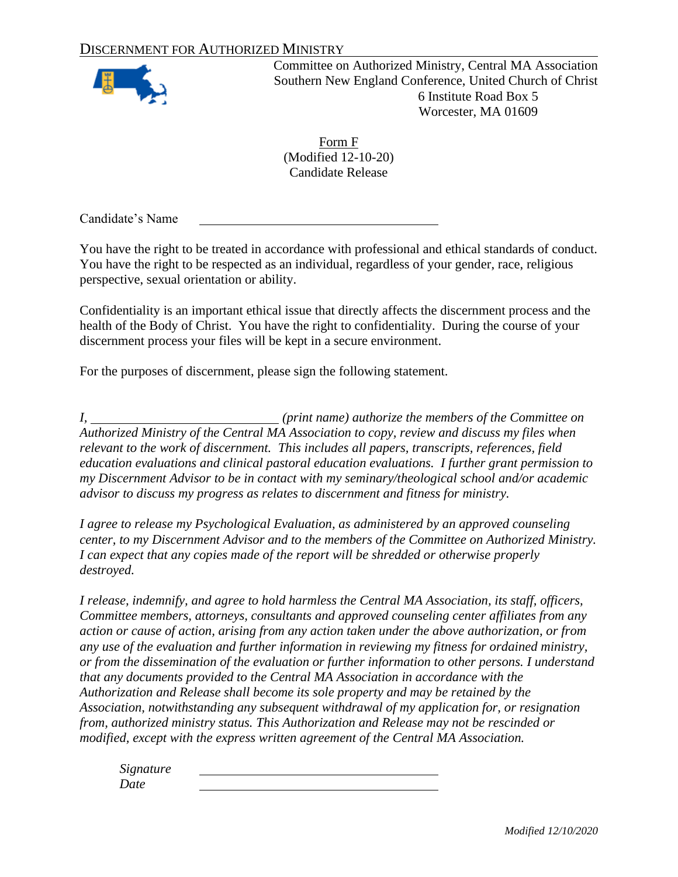### DISCERNMENT FOR AUTHORIZED MINISTRY



Committee on Authorized Ministry, Central MA Association Southern New England Conference, United Church of Christ 6 Institute Road Box 5 Worcester, MA 01609

Form F (Modified 12-10-20) Candidate Release

Candidate's Name

You have the right to be treated in accordance with professional and ethical standards of conduct. You have the right to be respected as an individual, regardless of your gender, race, religious perspective, sexual orientation or ability.

Confidentiality is an important ethical issue that directly affects the discernment process and the health of the Body of Christ. You have the right to confidentiality. During the course of your discernment process your files will be kept in a secure environment.

For the purposes of discernment, please sign the following statement.

*I, (print name) authorize the members of the Committee on Authorized Ministry of the Central MA Association to copy, review and discuss my files when relevant to the work of discernment. This includes all papers, transcripts, references, field education evaluations and clinical pastoral education evaluations. I further grant permission to my Discernment Advisor to be in contact with my seminary/theological school and/or academic advisor to discuss my progress as relates to discernment and fitness for ministry.*

*I agree to release my Psychological Evaluation, as administered by an approved counseling center, to my Discernment Advisor and to the members of the Committee on Authorized Ministry. I can expect that any copies made of the report will be shredded or otherwise properly destroyed.*

*I release, indemnify, and agree to hold harmless the Central MA Association, its staff, officers, Committee members, attorneys, consultants and approved counseling center affiliates from any action or cause of action, arising from any action taken under the above authorization, or from any use of the evaluation and further information in reviewing my fitness for ordained ministry, or from the dissemination of the evaluation or further information to other persons. I understand that any documents provided to the Central MA Association in accordance with the Authorization and Release shall become its sole property and may be retained by the Association, notwithstanding any subsequent withdrawal of my application for, or resignation from, authorized ministry status. This Authorization and Release may not be rescinded or modified, except with the express written agreement of the Central MA Association.*

*Signature Date*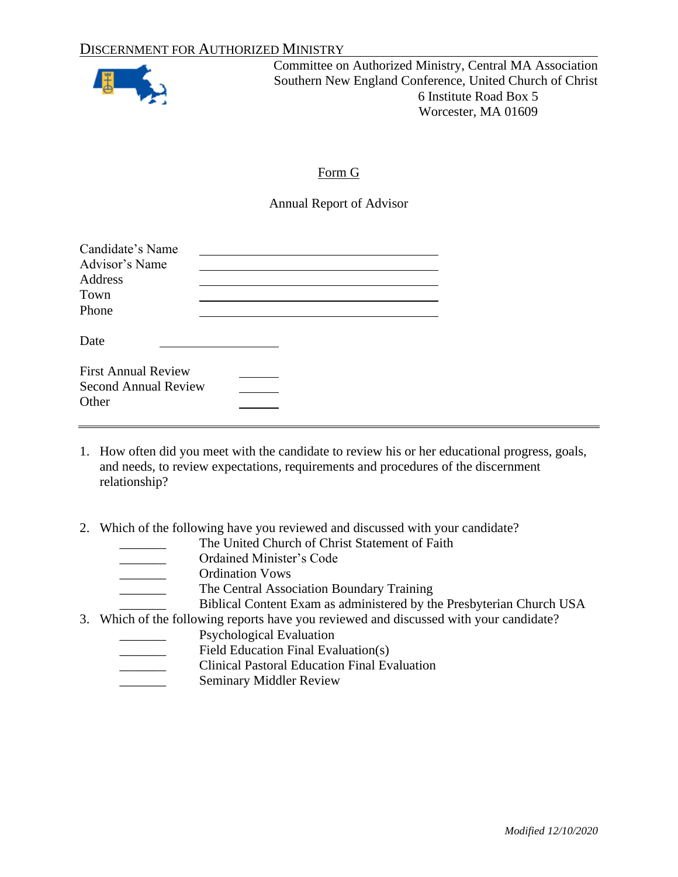

#### Form G

Annual Report of Advisor

| Candidate's Name<br>Advisor's Name<br>Address<br>Town<br>Phone     |  |
|--------------------------------------------------------------------|--|
| Date                                                               |  |
| <b>First Annual Review</b><br><b>Second Annual Review</b><br>Other |  |

- 1. How often did you meet with the candidate to review his or her educational progress, goals, and needs, to review expectations, requirements and procedures of the discernment relationship?
- 2. Which of the following have you reviewed and discussed with your candidate?
	- The United Church of Christ Statement of Faith
		- \_\_\_\_\_\_\_ Ordained Minister's Code
	- \_\_\_\_\_\_\_ Ordination Vows
		- The Central Association Boundary Training

Biblical Content Exam as administered by the Presbyterian Church USA

3. Which of the following reports have you reviewed and discussed with your candidate?

- Psychological Evaluation
- Field Education Final Evaluation(s)
- \_\_\_\_\_\_\_ Clinical Pastoral Education Final Evaluation
- Seminary Middler Review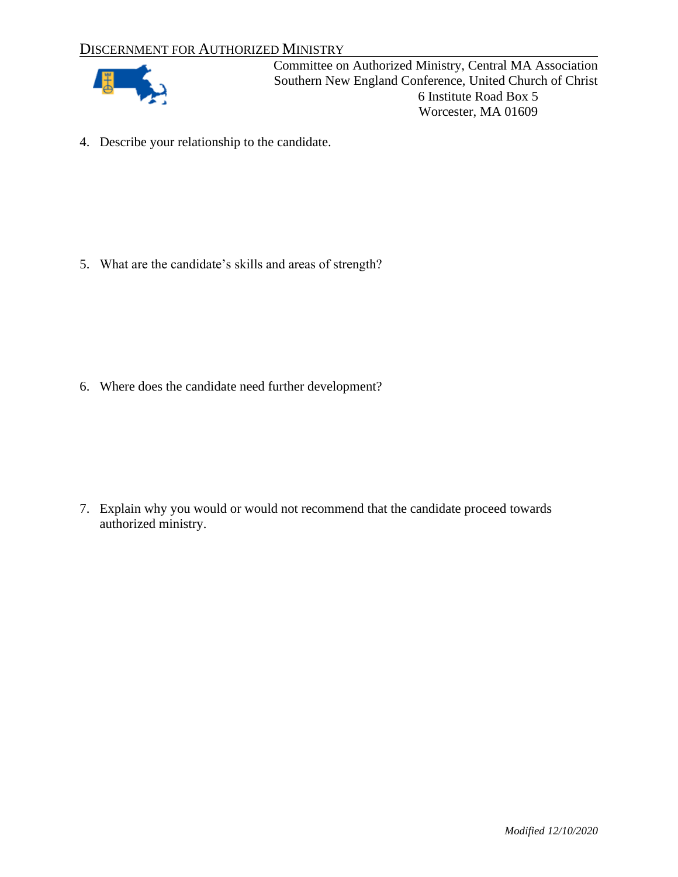# DISCERNMENT FOR AUTHORIZED MINISTRY



Committee on Authorized Ministry, Central MA Association Southern New England Conference, United Church of Christ 6 Institute Road Box 5 Worcester, MA 01609

4. Describe your relationship to the candidate.

5. What are the candidate's skills and areas of strength?

6. Where does the candidate need further development?

7. Explain why you would or would not recommend that the candidate proceed towards authorized ministry.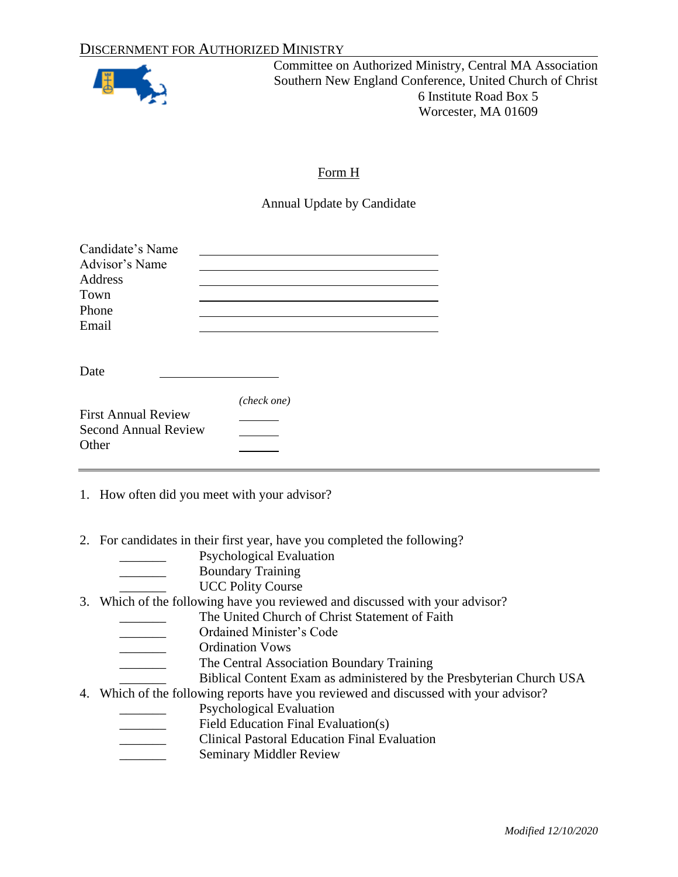

# Form H

Annual Update by Candidate

| Candidate's Name<br>Advisor's Name<br>Address<br>Town<br>Phone<br>Email |             |  |
|-------------------------------------------------------------------------|-------------|--|
| Date                                                                    |             |  |
| <b>First Annual Review</b><br><b>Second Annual Review</b><br>Other      | (check one) |  |

1. How often did you meet with your advisor?

2. For candidates in their first year, have you completed the following?

- Psychological Evaluation
- \_\_\_\_\_\_\_ Boundary Training
	- UCC Polity Course
- 3. Which of the following have you reviewed and discussed with your advisor?
	- The United Church of Christ Statement of Faith
	- \_\_\_\_\_\_\_ Ordained Minister's Code
	- \_\_\_\_\_\_\_ Ordination Vows
		- The Central Association Boundary Training
			- Biblical Content Exam as administered by the Presbyterian Church USA
- 4. Which of the following reports have you reviewed and discussed with your advisor?
	- Psychological Evaluation
	- Field Education Final Evaluation(s)
	- \_\_\_\_\_\_\_ Clinical Pastoral Education Final Evaluation
	- **Example 3** Seminary Middler Review